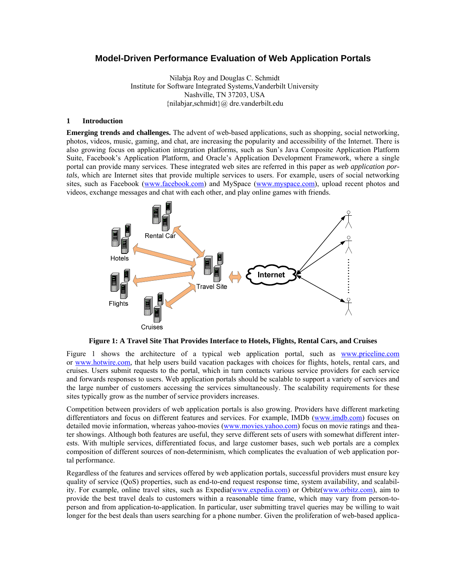# **Model-Driven Performance Evaluation of Web Application Portals**

Nilabja Roy and Douglas C. Schmidt Institute for Software Integrated Systems,Vanderbilt University Nashville, TN 37203, USA {nilabjar,schmidt}@ dre.vanderbilt.edu

#### **1 Introduction**

**Emerging trends and challenges.** The advent of web-based applications, such as shopping, social networking, photos, videos, music, gaming, and chat, are increasing the popularity and accessibility of the Internet. There is also growing focus on application integration platforms, such as Sun's Java Composite Application Platform Suite, Facebook's Application Platform, and Oracle's Application Development Framework, where a single portal can provide many services. These integrated web sites are referred in this paper as *web application portals*, which are Internet sites that provide multiple services to users. For example, users of social networking sites, such as Facebook [\(www.facebook.com\)](www.facebook.com) and MySpace ([www.myspace.com\)](www.myspace.com), upload recent photos and videos, exchange messages and chat with each other, and play online games with friends.



**Figure 1: A Travel Site That Provides Interface to Hotels, Flights, Rental Cars, and Cruises** 

Figure 1 shows the architecture of a typical web application portal, such as [www.priceline.com](http://www.priceline.com/) or [www.hotwire.com](http://www.hotwire.com/), that help users build vacation packages with choices for flights, hotels, rental cars, and cruises. Users submit requests to the portal, which in turn contacts various service providers for each service and forwards responses to users. Web application portals should be scalable to support a variety of services and the large number of customers accessing the services simultaneously. The scalability requirements for these sites typically grow as the number of service providers increases.

Competition between providers of web application portals is also growing. Providers have different marketing differentiators and focus on different features and services. For example, IMDb [\(www.imdb.com\)](http://www.imdb.com/) focuses on detailed movie information, whereas yahoo-movies ([www.movies.yahoo.com](http://www.movies.yahoo.com/)) focus on movie ratings and theater showings. Although both features are useful, they serve different sets of users with somewhat different interests. With multiple services, differentiated focus, and large customer bases, such web portals are a complex composition of different sources of non-determinism, which complicates the evaluation of web application portal performance.

Regardless of the features and services offered by web application portals, successful providers must ensure key quality of service (QoS) properties, such as end-to-end request response time, system availability, and scalability. For example, online travel sites, such as Expedia([www.expedia.com\)](www.expedia.com) or Orbitz([www.orbitz.com\)](www.orbitz.com), aim to provide the best travel deals to customers within a reasonable time frame, which may vary from person-toperson and from application-to-application. In particular, user submitting travel queries may be willing to wait longer for the best deals than users searching for a phone number. Given the proliferation of web-based applica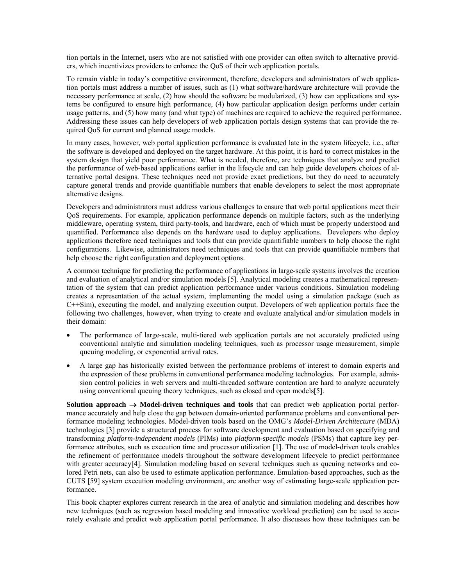tion portals in the Internet, users who are not satisfied with one provider can often switch to alternative providers, which incentivizes providers to enhance the QoS of their web application portals.

To remain viable in today's competitive environment, therefore, developers and administrators of web application portals must address a number of issues, such as (1) what software/hardware architecture will provide the necessary performance at scale, (2) how should the software be modularized, (3) how can applications and systems be configured to ensure high performance, (4) how particular application design performs under certain usage patterns, and (5) how many (and what type) of machines are required to achieve the required performance. Addressing these issues can help developers of web application portals design systems that can provide the required QoS for current and planned usage models.

In many cases, however, web portal application performance is evaluated late in the system lifecycle, i.e., after the software is developed and deployed on the target hardware. At this point, it is hard to correct mistakes in the system design that yield poor performance. What is needed, therefore, are techniques that analyze and predict the performance of web-based applications earlier in the lifecycle and can help guide developers choices of alternative portal designs. These techniques need not provide exact predictions, but they do need to accurately capture general trends and provide quantifiable numbers that enable developers to select the most appropriate alternative designs.

Developers and administrators must address various challenges to ensure that web portal applications meet their QoS requirements. For example, application performance depends on multiple factors, such as the underlying middleware, operating system, third party-tools, and hardware, each of which must be properly understood and quantified. Performance also depends on the hardware used to deploy applications. Developers who deploy applications therefore need techniques and tools that can provide quantifiable numbers to help choose the right configurations. Likewise, administrators need techniques and tools that can provide quantifiable numbers that help choose the right configuration and deployment options.

A common technique for predicting the performance of applications in large-scale systems involves the creation and evaluation of analytical and/or simulation models [5]. Analytical modeling creates a mathematical representation of the system that can predict application performance under various conditions. Simulation modeling creates a representation of the actual system, implementing the model using a simulation package (such as C++Sim), executing the model, and analyzing execution output. Developers of web application portals face the following two challenges, however, when trying to create and evaluate analytical and/or simulation models in their domain:

- The performance of large-scale, multi-tiered web application portals are not accurately predicted using conventional analytic and simulation modeling techniques, such as processor usage measurement, simple queuing modeling, or exponential arrival rates.
- A large gap has historically existed between the performance problems of interest to domain experts and the expression of these problems in conventional performance modeling technologies. For example, admission control policies in web servers and multi-threaded software contention are hard to analyze accurately using conventional queuing theory techniques, such as closed and open models[5].

**Solution approach**  $\rightarrow$  **Model-driven techniques and tools** that can predict web application portal performance accurately and help close the gap between domain-oriented performance problems and conventional performance modeling technologies. Model-driven tools based on the OMG's *Model-Driven Architecture* (MDA) technologies [3] provide a structured process for software development and evaluation based on specifying and transforming *platform-independent models* (PIMs) into *platform-specific models* (PSMs) that capture key performance attributes, such as execution time and processor utilization [1]. The use of model-driven tools enables the refinement of performance models throughout the software development lifecycle to predict performance with greater accuracy<sup>[4]</sup>. Simulation modeling based on several techniques such as queuing networks and colored Petri nets, can also be used to estimate application performance. Emulation-based approaches, such as the CUTS [59] system execution modeling environment, are another way of estimating large-scale application performance.

This book chapter explores current research in the area of analytic and simulation modeling and describes how new techniques (such as regression based modeling and innovative workload prediction) can be used to accurately evaluate and predict web application portal performance. It also discusses how these techniques can be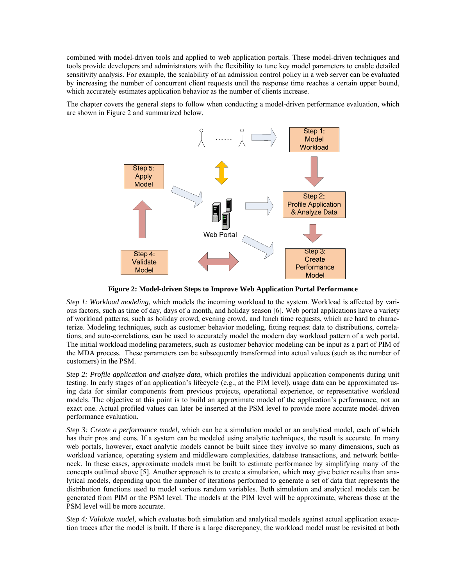combined with model-driven tools and applied to web application portals. These model-driven techniques and tools provide developers and administrators with the flexibility to tune key model parameters to enable detailed sensitivity analysis. For example, the scalability of an admission control policy in a web server can be evaluated by increasing the number of concurrent client requests until the response time reaches a certain upper bound, which accurately estimates application behavior as the number of clients increase.

The chapter covers the general steps to follow when conducting a model-driven performance evaluation, which are shown in Figure 2 and summarized below.



**Figure 2: Model-driven Steps to Improve Web Application Portal Performance** 

*Step 1: Workload modeling*, which models the incoming workload to the system. Workload is affected by various factors, such as time of day, days of a month, and holiday season [6]. Web portal applications have a variety of workload patterns, such as holiday crowd, evening crowd, and lunch time requests, which are hard to characterize. Modeling techniques, such as customer behavior modeling, fitting request data to distributions, correlations, and auto-correlations, can be used to accurately model the modern day workload pattern of a web portal. The initial workload modeling parameters, such as customer behavior modeling can be input as a part of PIM of the MDA process. These parameters can be subsequently transformed into actual values (such as the number of customers) in the PSM.

*Step 2: Profile application and analyze data*, which profiles the individual application components during unit testing. In early stages of an application's lifecycle (e.g., at the PIM level), usage data can be approximated using data for similar components from previous projects, operational experience, or representative workload models. The objective at this point is to build an approximate model of the application's performance, not an exact one. Actual profiled values can later be inserted at the PSM level to provide more accurate model-driven performance evaluation.

*Step 3: Create a performance model,* which can be a simulation model or an analytical model, each of which has their pros and cons. If a system can be modeled using analytic techniques, the result is accurate. In many web portals, however, exact analytic models cannot be built since they involve so many dimensions, such as workload variance, operating system and middleware complexities, database transactions, and network bottleneck. In these cases, approximate models must be built to estimate performance by simplifying many of the concepts outlined above [5]. Another approach is to create a simulation, which may give better results than analytical models, depending upon the number of iterations performed to generate a set of data that represents the distribution functions used to model various random variables. Both simulation and analytical models can be generated from PIM or the PSM level. The models at the PIM level will be approximate, whereas those at the PSM level will be more accurate.

*Step 4: Validate model,* which evaluates both simulation and analytical models against actual application execution traces after the model is built. If there is a large discrepancy, the workload model must be revisited at both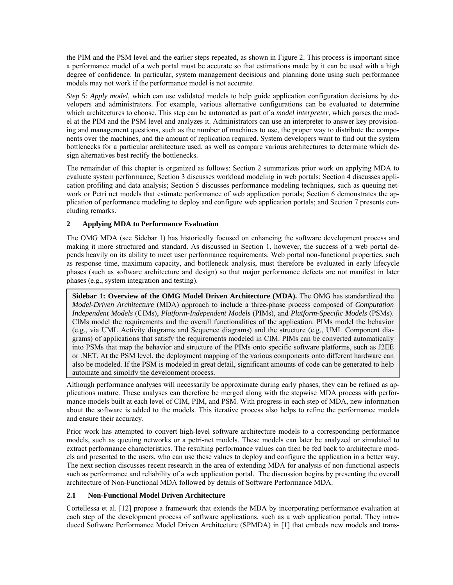the PIM and the PSM level and the earlier steps repeated, as shown in Figure 2. This process is important since a performance model of a web portal must be accurate so that estimations made by it can be used with a high degree of confidence. In particular, system management decisions and planning done using such performance models may not work if the performance model is not accurate.

*Step 5: Apply model,* which can use validated models to help guide application configuration decisions by developers and administrators. For example, various alternative configurations can be evaluated to determine which architectures to choose. This step can be automated as part of a *model interpreter*, which parses the model at the PIM and the PSM level and analyzes it. Administrators can use an interpreter to answer key provisioning and management questions, such as the number of machines to use, the proper way to distribute the components over the machines, and the amount of replication required. System developers want to find out the system bottlenecks for a particular architecture used, as well as compare various architectures to determine which design alternatives best rectify the bottlenecks.

The remainder of this chapter is organized as follows: Section 2 summarizes prior work on applying MDA to evaluate system performance; Section 3 discusses workload modeling in web portals; Section 4 discusses application profiling and data analysis; Section 5 discusses performance modeling techniques, such as queuing network or Petri net models that estimate performance of web application portals; Section 6 demonstrates the application of performance modeling to deploy and configure web application portals; and Section 7 presents concluding remarks.

# **2 Applying MDA to Performance Evaluation**

The OMG MDA (see Sidebar 1) has historically focused on enhancing the software development process and making it more structured and standard. As discussed in Section 1, however, the success of a web portal depends heavily on its ability to meet user performance requirements. Web portal non-functional properties, such as response time, maximum capacity, and bottleneck analysis, must therefore be evaluated in early lifecycle phases (such as software architecture and design) so that major performance defects are not manifest in later phases (e.g., system integration and testing).

**Sidebar 1: Overview of the OMG Model Driven Architecture (MDA).** The OMG has standardized the *Model-Driven Architecture* (MDA) approach to include a three-phase process composed of *Computation Independent Models* (CIMs), *Platform-Independent Models* (PIMs), and *Platform-Specific Models* (PSMs). CIMs model the requirements and the overall functionalities of the application. PIMs model the behavior (e.g., via UML Activity diagrams and Sequence diagrams) and the structure (e.g., UML Component diagrams) of applications that satisfy the requirements modeled in CIM. PIMs can be converted automatically into PSMs that map the behavior and structure of the PIMs onto specific software platforms, such as J2EE or .NET. At the PSM level, the deployment mapping of the various components onto different hardware can also be modeled. If the PSM is modeled in great detail, significant amounts of code can be generated to help automate and simplify the development process.

Although performance analyses will necessarily be approximate during early phases, they can be refined as applications mature. These analyses can therefore be merged along with the stepwise MDA process with performance models built at each level of CIM, PIM, and PSM. With progress in each step of MDA, new information about the software is added to the models. This iterative process also helps to refine the performance models and ensure their accuracy.

Prior work has attempted to convert high-level software architecture models to a corresponding performance models, such as queuing networks or a petri-net models. These models can later be analyzed or simulated to extract performance characteristics. The resulting performance values can then be fed back to architecture models and presented to the users, who can use these values to deploy and configure the application in a better way. The next section discusses recent research in the area of extending MDA for analysis of non-functional aspects such as performance and reliability of a web application portal. The discussion begins by presenting the overall architecture of Non-Functional MDA followed by details of Software Performance MDA.

### **2.1 Non-Functional Model Driven Architecture**

Cortellessa et al. [12] propose a framework that extends the MDA by incorporating performance evaluation at each step of the development process of software applications, such as a web application portal. They introduced Software Performance Model Driven Architecture (SPMDA) in [1] that embeds new models and trans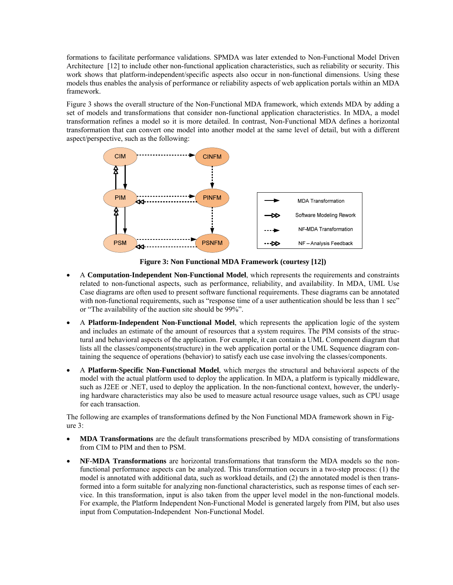formations to facilitate performance validations. SPMDA was later extended to Non-Functional Model Driven Architecture [12] to include other non-functional application characteristics, such as reliability or security. This work shows that platform-independent/specific aspects also occur in non-functional dimensions. Using these models thus enables the analysis of performance or reliability aspects of web application portals within an MDA framework.

Figure 3 shows the overall structure of the Non-Functional MDA framework, which extends MDA by adding a set of models and transformations that consider non-functional application characteristics. In MDA, a model transformation refines a model so it is more detailed. In contrast, Non-Functional MDA defines a horizontal transformation that can convert one model into another model at the same level of detail, but with a different aspect/perspective, such as the following:



**Figure 3: Non Functional MDA Framework (courtesy [12])** 

- A **Computation-Independent Non-Functional Model**, which represents the requirements and constraints related to non-functional aspects, such as performance, reliability, and availability. In MDA, UML Use Case diagrams are often used to present software functional requirements. These diagrams can be annotated with non-functional requirements, such as "response time of a user authentication should be less than 1 sec" or "The availability of the auction site should be 99%".
- A **Platform-Independent Non-Functional Model**, which represents the application logic of the system and includes an estimate of the amount of resources that a system requires. The PIM consists of the structural and behavioral aspects of the application. For example, it can contain a UML Component diagram that lists all the classes/components(structure) in the web application portal or the UML Sequence diagram containing the sequence of operations (behavior) to satisfy each use case involving the classes/components.
- A **Platform-Specific Non-Functional Model**, which merges the structural and behavioral aspects of the model with the actual platform used to deploy the application. In MDA, a platform is typically middleware, such as J2EE or .NET, used to deploy the application. In the non-functional context, however, the underlying hardware characteristics may also be used to measure actual resource usage values, such as CPU usage for each transaction.

The following are examples of transformations defined by the Non Functional MDA framework shown in Figure 3:

- **MDA Transformations** are the default transformations prescribed by MDA consisting of transformations from CIM to PIM and then to PSM.
- **NF-MDA Transformations** are horizontal transformations that transform the MDA models so the nonfunctional performance aspects can be analyzed. This transformation occurs in a two-step process: (1) the model is annotated with additional data, such as workload details, and (2) the annotated model is then transformed into a form suitable for analyzing non-functional characteristics, such as response times of each service. In this transformation, input is also taken from the upper level model in the non-functional models. For example, the Platform Independent Non-Functional Model is generated largely from PIM, but also uses input from Computation-Independent Non-Functional Model.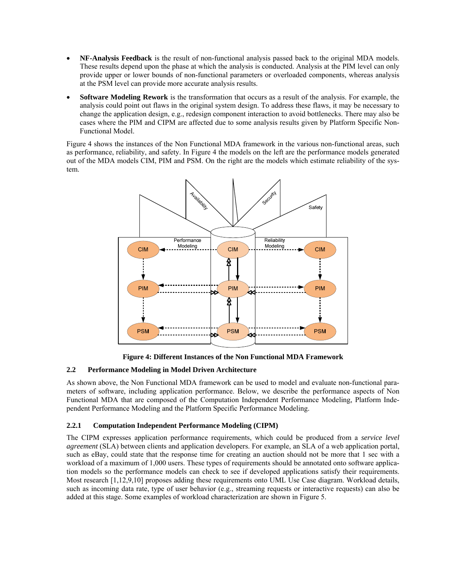- **NF-Analysis Feedback** is the result of non-functional analysis passed back to the original MDA models. These results depend upon the phase at which the analysis is conducted. Analysis at the PIM level can only provide upper or lower bounds of non-functional parameters or overloaded components, whereas analysis at the PSM level can provide more accurate analysis results.
- **Software Modeling Rework** is the transformation that occurs as a result of the analysis. For example, the analysis could point out flaws in the original system design. To address these flaws, it may be necessary to change the application design, e.g., redesign component interaction to avoid bottlenecks. There may also be cases where the PIM and CIPM are affected due to some analysis results given by Platform Specific Non-Functional Model.

Figure 4 shows the instances of the Non Functional MDA framework in the various non-functional areas, such as performance, reliability, and safety. In Figure 4 the models on the left are the performance models generated out of the MDA models CIM, PIM and PSM. On the right are the models which estimate reliability of the system.



**Figure 4: Different Instances of the Non Functional MDA Framework** 

# **2.2 Performance Modeling in Model Driven Architecture**

As shown above, the Non Functional MDA framework can be used to model and evaluate non-functional parameters of software, including application performance. Below, we describe the performance aspects of Non Functional MDA that are composed of the Computation Independent Performance Modeling, Platform Independent Performance Modeling and the Platform Specific Performance Modeling.

# **2.2.1 Computation Independent Performance Modeling (CIPM)**

The CIPM expresses application performance requirements, which could be produced from a *service level agreement* (SLA) between clients and application developers. For example, an SLA of a web application portal, such as eBay, could state that the response time for creating an auction should not be more that 1 sec with a workload of a maximum of 1,000 users. These types of requirements should be annotated onto software application models so the performance models can check to see if developed applications satisfy their requirements. Most research [1,12,9,10] proposes adding these requirements onto UML Use Case diagram. Workload details, such as incoming data rate, type of user behavior (e.g., streaming requests or interactive requests) can also be added at this stage. Some examples of workload characterization are shown in Figure 5.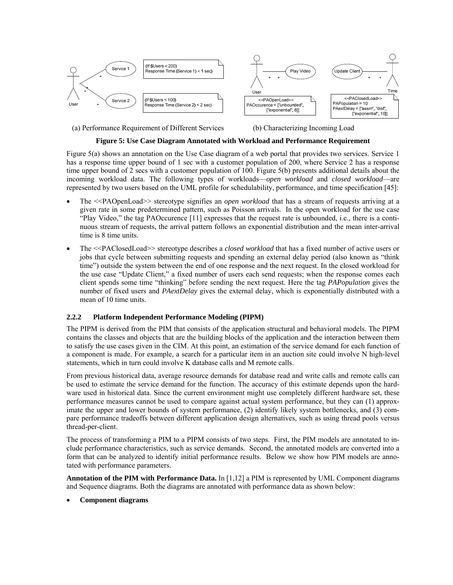

(a) Performance Requirement of Different Services (b) Characterizing Incoming Load

## **Figure 5: Use Case Diagram Annotated with Workload and Performance Requirement**

Figure 5(a) shows an annotation on the Use Case diagram of a web portal that provides two services. Service 1 has a response time upper bound of 1 sec with a customer population of 200, where Service 2 has a response time upper bound of 2 secs with a customer population of 100. Figure 5(b) presents additional details about the incoming workload data. The following types of workloads—*open workload* and *closed workload*—are represented by two users based on the UML profile for schedulability, performance, and time specification [45]:

- The <<PAOpenLoad>> stereotype signifies an *open workload* that has a stream of requests arriving at a given rate in some predetermined pattern, such as Poisson arrivals. In the open workload for the use case "Play Video," the tag PAOccurence [11] expresses that the request rate is unbounded, i.e., there is a continuous stream of requests, the arrival pattern follows an exponential distribution and the mean inter-arrival time is 8 time units.
- The <<PAClosedLoad>> stereotype describes a *closed workload* that has a fixed number of active users or jobs that cycle between submitting requests and spending an external delay period (also known as "think time") outside the system between the end of one response and the next request. In the closed workload for the use case "Update Client," a fixed number of users each send requests; when the response comes each client spends some time "thinking" before sending the next request. Here the tag *PAPopulation* gives the number of fixed users and *PAextDelay* gives the external delay, which is exponentially distributed with a mean of 10 time units.

# **2.2.2 Platform Independent Performance Modeling (PIPM)**

The PIPM is derived from the PIM that consists of the application structural and behavioral models. The PIPM contains the classes and objects that are the building blocks of the application and the interaction between them to satisfy the use cases given in the CIM. At this point, an estimation of the service demand for each function of a component is made. For example, a search for a particular item in an auction site could involve N high-level statements, which in turn could involve K database calls and M remote calls.

From previous historical data, average resource demands for database read and write calls and remote calls can be used to estimate the service demand for the function. The accuracy of this estimate depends upon the hardware used in historical data. Since the current environment might use completely different hardware set, these performance measures cannot be used to compare against actual system performance, but they can (1) approximate the upper and lower bounds of system performance, (2) identify likely system bottlenecks, and (3) compare performance tradeoffs between different application design alternatives, such as using thread pools versus thread-per-client.

The process of transforming a PIM to a PIPM consists of two steps. First, the PIM models are annotated to include performance characteristics, such as service demands. Second, the annotated models are converted into a form that can be analyzed to identify initial performance results. Below we show how PIM models are annotated with performance parameters.

**Annotation of the PIM with Performance Data.** In [1,12] a PIM is represented by UML Component diagrams and Sequence diagrams. Both the diagrams are annotated with performance data as shown below:

• **Component diagrams**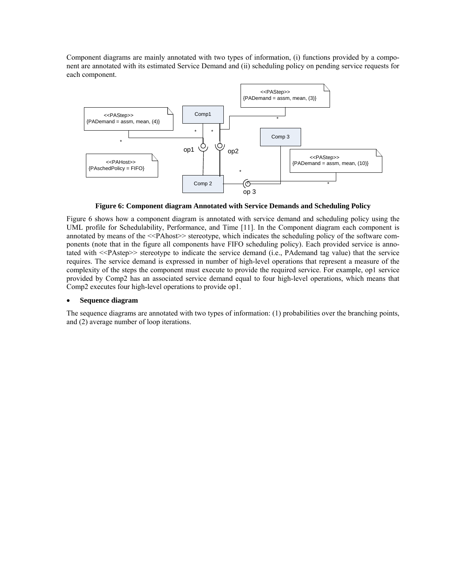Component diagrams are mainly annotated with two types of information, (i) functions provided by a component are annotated with its estimated Service Demand and (ii) scheduling policy on pending service requests for each component.



**Figure 6: Component diagram Annotated with Service Demands and Scheduling Policy** 

Figure 6 shows how a component diagram is annotated with service demand and scheduling policy using the UML profile for Schedulability, Performance, and Time [11]. In the Component diagram each component is annotated by means of the <<PAhost>> stereotype, which indicates the scheduling policy of the software components (note that in the figure all components have FIFO scheduling policy). Each provided service is annotated with <<PAstep>> stereotype to indicate the service demand (i.e., PAdemand tag value) that the service requires. The service demand is expressed in number of high-level operations that represent a measure of the complexity of the steps the component must execute to provide the required service. For example, op1 service provided by Comp2 has an associated service demand equal to four high-level operations, which means that Comp2 executes four high-level operations to provide op1.

#### • **Sequence diagram**

The sequence diagrams are annotated with two types of information: (1) probabilities over the branching points, and (2) average number of loop iterations.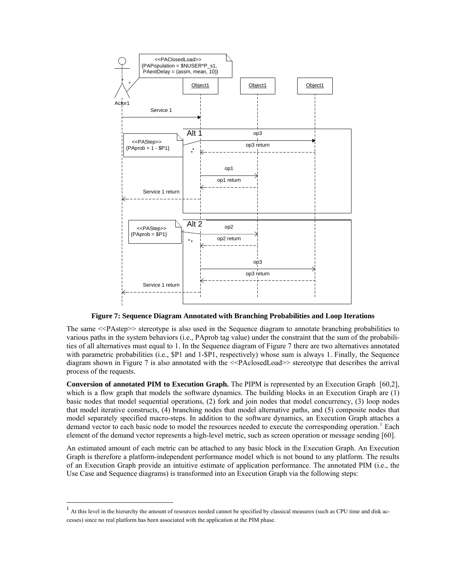

**Figure 7: Sequence Diagram Annotated with Branching Probabilities and Loop Iterations** 

The same  $\leq$ PAstep>> stereotype is also used in the Sequence diagram to annotate branching probabilities to various paths in the system behaviors (i.e., PAprob tag value) under the constraint that the sum of the probabilities of all alternatives must equal to 1. In the Sequence diagram of Figure 7 there are two alternatives annotated with parametric probabilities (i.e.,  $$P1$  and 1- $$P1$ , respectively) whose sum is always 1. Finally, the Sequence diagram shown in Figure 7 is also annotated with the <<PAclosedLoad>> stereotype that describes the arrival process of the requests.

**Conversion of annotated PIM to Execution Graph.** The PIPM is represented by an Execution Graph [60,2], which is a flow graph that models the software dynamics. The building blocks in an Execution Graph are  $(1)$ basic nodes that model sequential operations, (2) fork and join nodes that model concurrency, (3) loop nodes that model iterative constructs, (4) branching nodes that model alternative paths, and (5) composite nodes that model separately specified macro-steps. In addition to the software dynamics, an Execution Graph attaches a demand vector to each basic node to model the resources needed to execute the corresponding operation.<sup>[1](#page-8-0)</sup> Each element of the demand vector represents a high-level metric, such as screen operation or message sending [60].

An estimated amount of each metric can be attached to any basic block in the Execution Graph. An Execution Graph is therefore a platform-independent performance model which is not bound to any platform. The results of an Execution Graph provide an intuitive estimate of application performance. The annotated PIM (i.e., the Use Case and Sequence diagrams) is transformed into an Execution Graph via the following steps:

<span id="page-8-0"></span><sup>&</sup>lt;sup>1</sup> At this level in the hierarchy the amount of resources needed cannot be specified by classical measures (such as CPU time and disk accesses) since no real platform has been associated with the application at the PIM phase.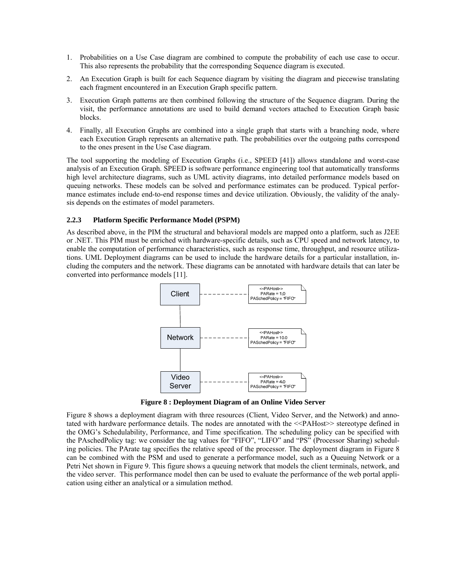- 1. Probabilities on a Use Case diagram are combined to compute the probability of each use case to occur. This also represents the probability that the corresponding Sequence diagram is executed.
- 2. An Execution Graph is built for each Sequence diagram by visiting the diagram and piecewise translating each fragment encountered in an Execution Graph specific pattern.
- 3. Execution Graph patterns are then combined following the structure of the Sequence diagram. During the visit, the performance annotations are used to build demand vectors attached to Execution Graph basic blocks.
- 4. Finally, all Execution Graphs are combined into a single graph that starts with a branching node, where each Execution Graph represents an alternative path. The probabilities over the outgoing paths correspond to the ones present in the Use Case diagram.

The tool supporting the modeling of Execution Graphs (i.e., SPEED [41]) allows standalone and worst-case analysis of an Execution Graph. SPEED is software performance engineering tool that automatically transforms high level architecture diagrams, such as UML activity diagrams, into detailed performance models based on queuing networks. These models can be solved and performance estimates can be produced. Typical performance estimates include end-to-end response times and device utilization. Obviously, the validity of the analysis depends on the estimates of model parameters.

#### **2.2.3 Platform Specific Performance Model (PSPM)**

As described above, in the PIM the structural and behavioral models are mapped onto a platform, such as J2EE or .NET. This PIM must be enriched with hardware-specific details, such as CPU speed and network latency, to enable the computation of performance characteristics, such as response time, throughput, and resource utilizations. UML Deployment diagrams can be used to include the hardware details for a particular installation, including the computers and the network. These diagrams can be annotated with hardware details that can later be converted into performance models [11].



**Figure 8 : Deployment Diagram of an Online Video Server** 

Figure 8 shows a deployment diagram with three resources (Client, Video Server, and the Network) and annotated with hardware performance details. The nodes are annotated with the <<PAHost>> stereotype defined in the OMG's Schedulability, Performance, and Time specification. The scheduling policy can be specified with the PAschedPolicy tag: we consider the tag values for "FIFO", "LIFO" and "PS" (Processor Sharing) scheduling policies. The PArate tag specifies the relative speed of the processor. The deployment diagram in Figure 8 can be combined with the PSM and used to generate a performance model, such as a Queuing Network or a Petri Net shown in Figure 9. This figure shows a queuing network that models the client terminals, network, and the video server. This performance model then can be used to evaluate the performance of the web portal application using either an analytical or a simulation method.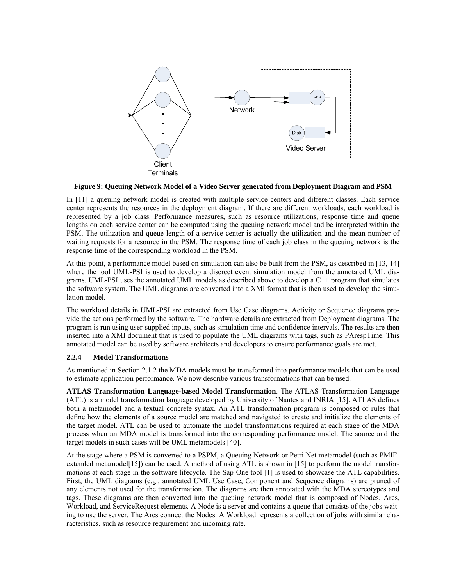

#### **Figure 9: Queuing Network Model of a Video Server generated from Deployment Diagram and PSM**

In [11] a queuing network model is created with multiple service centers and different classes. Each service center represents the resources in the deployment diagram. If there are different workloads, each workload is represented by a job class. Performance measures, such as resource utilizations, response time and queue lengths on each service center can be computed using the queuing network model and be interpreted within the PSM. The utilization and queue length of a service center is actually the utilization and the mean number of waiting requests for a resource in the PSM. The response time of each job class in the queuing network is the response time of the corresponding workload in the PSM.

At this point, a performance model based on simulation can also be built from the PSM, as described in [13, 14] where the tool UML-PSI is used to develop a discreet event simulation model from the annotated UML diagrams. UML-PSI uses the annotated UML models as described above to develop a C++ program that simulates the software system. The UML diagrams are converted into a XMI format that is then used to develop the simulation model.

The workload details in UML-PSI are extracted from Use Case diagrams. Activity or Sequence diagrams provide the actions performed by the software. The hardware details are extracted from Deployment diagrams. The program is run using user-supplied inputs, such as simulation time and confidence intervals. The results are then inserted into a XMI document that is used to populate the UML diagrams with tags, such as PArespTime. This annotated model can be used by software architects and developers to ensure performance goals are met.

### **2.2.4 Model Transformations**

As mentioned in Section 2.1.2 the MDA models must be transformed into performance models that can be used to estimate application performance. We now describe various transformations that can be used.

**ATLAS Transformation Language-based Model Transformation**. The ATLAS Transformation Language (ATL) is a model transformation language developed by University of Nantes and INRIA [15]. ATLAS defines both a metamodel and a textual concrete syntax. An ATL transformation program is composed of rules that define how the elements of a source model are matched and navigated to create and initialize the elements of the target model. ATL can be used to automate the model transformations required at each stage of the MDA process when an MDA model is transformed into the corresponding performance model. The source and the target models in such cases will be UML metamodels [40].

At the stage where a PSM is converted to a PSPM, a Queuing Network or Petri Net metamodel (such as PMIFextended metamodel[15]) can be used. A method of using ATL is shown in [15] to perform the model transformations at each stage in the software lifecycle. The Sap-One tool [1] is used to showcase the ATL capabilities. First, the UML diagrams (e.g., annotated UML Use Case, Component and Sequence diagrams) are pruned of any elements not used for the transformation. The diagrams are then annotated with the MDA stereotypes and tags. These diagrams are then converted into the queuing network model that is composed of Nodes, Arcs, Workload, and ServiceRequest elements. A Node is a server and contains a queue that consists of the jobs waiting to use the server. The Arcs connect the Nodes. A Workload represents a collection of jobs with similar characteristics, such as resource requirement and incoming rate.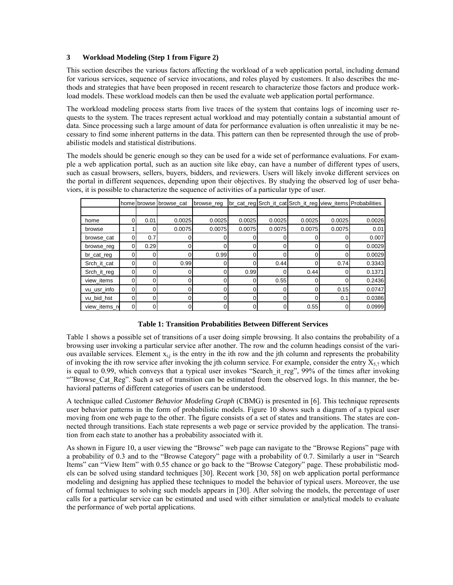#### **3 Workload Modeling (Step 1 from Figure 2)**

This section describes the various factors affecting the workload of a web application portal, including demand for various services, sequence of service invocations, and roles played by customers. It also describes the methods and strategies that have been proposed in recent research to characterize those factors and produce workload models. These workload models can then be used the evaluate web application portal performance.

The workload modeling process starts from live traces of the system that contains logs of incoming user requests to the system. The traces represent actual workload and may potentially contain a substantial amount of data. Since processing such a large amount of data for performance evaluation is often unrealistic it may be necessary to find some inherent patterns in the data. This pattern can then be represented through the use of probabilistic models and statistical distributions.

The models should be generic enough so they can be used for a wide set of performance evaluations. For example a web application portal, such as an auction site like ebay, can have a number of different types of users, such as casual browsers, sellers, buyers, bidders, and reviewers. Users will likely invoke different services on the portal in different sequences, depending upon their objectives. By studying the observed log of user behaviors, it is possible to characterize the sequence of activities of a particular type of user.

|               |   |      | home browse browse cat | browse_reg |        |        |        |        | br_cat_reg Srch_it_cat Srch_it_reg view_items Probabilities |
|---------------|---|------|------------------------|------------|--------|--------|--------|--------|-------------------------------------------------------------|
|               |   |      |                        |            |        |        |        |        |                                                             |
| home          | 0 | 0.01 | 0.0025                 | 0.0025     | 0.0025 | 0.0025 | 0.0025 | 0.0025 | 0.0026                                                      |
| browse        |   |      | 0.0075                 | 0.0075     | 0.0075 | 0.0075 | 0.0075 | 0.0075 | 0.01                                                        |
| browse cat    |   | 0.7  |                        |            |        |        |        |        | 0.007                                                       |
| browse_reg    | 0 | 0.29 |                        |            |        |        |        |        | 0.0029                                                      |
| br_cat_reg    | 0 | 0    |                        | 0.99       |        |        |        | 0      | 0.0029                                                      |
| Srch it cat   | 0 |      | 0.99                   |            |        | 0.44   |        | 0.74   | 0.3343                                                      |
| Srch_it_reg   |   |      |                        |            | 0.99   |        | 0.44   |        | 0.1371                                                      |
| view items    |   |      |                        |            |        | 0.55   |        |        | 0.2436                                                      |
| vu_usr_info   |   |      |                        |            |        |        |        | 0.15   | 0.0747                                                      |
| vu bid hst    | 0 | 0    |                        |            |        |        |        | 0.1    | 0.0386                                                      |
| view_items_re | 0 |      |                        |            |        |        | 0.55   |        | 0.0999                                                      |

#### **Table 1: Transition Probabilities Between Different Services**

Table 1 shows a possible set of transitions of a user doing simple browsing. It also contains the probability of a browsing user invoking a particular service after another. The row and the column headings consist of the various available services. Element  $x_{i,j}$  is the entry in the ith row and the jth column and represents the probability of invoking the ith row service after invoking the jth column service. For example, consider the entry  $X_{57}$  which is equal to 0.99, which conveys that a typical user invokes "Search it reg", 99% of the times after invoking ""Browse Cat Reg". Such a set of transition can be estimated from the observed logs. In this manner, the behavioral patterns of different categories of users can be understood.

A technique called *Customer Behavior Modeling Graph* (CBMG) is presented in [6]. This technique represents user behavior patterns in the form of probabilistic models. Figure 10 shows such a diagram of a typical user moving from one web page to the other. The figure consists of a set of states and transitions. The states are connected through transitions. Each state represents a web page or service provided by the application. The transition from each state to another has a probability associated with it.

As shown in Figure 10, a user viewing the "Browse" web page can navigate to the "Browse Regions" page with a probability of 0.3 and to the "Browse Category" page with a probability of 0.7. Similarly a user in "Search Items" can "View Item" with 0.55 chance or go back to the "Browse Category" page. These probabilistic models can be solved using standard techniques [30]. Recent work [30, 58] on web application portal performance modeling and designing has applied these techniques to model the behavior of typical users. Moreover, the use of formal techniques to solving such models appears in [30]. After solving the models, the percentage of user calls for a particular service can be estimated and used with either simulation or analytical models to evaluate the performance of web portal applications.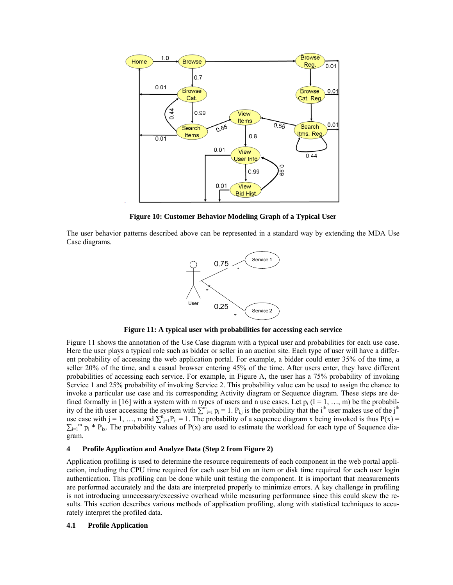

**Figure 10: Customer Behavior Modeling Graph of a Typical User** 

The user behavior patterns described above can be represented in a standard way by extending the MDA Use Case diagrams.



**Figure 11: A typical user with probabilities for accessing each service** 

Figure 11 shows the annotation of the Use Case diagram with a typical user and probabilities for each use case. Here the user plays a typical role such as bidder or seller in an auction site. Each type of user will have a different probability of accessing the web application portal. For example, a bidder could enter 35% of the time, a seller 20% of the time, and a casual browser entering 45% of the time. After users enter, they have different probabilities of accessing each service. For example, in Figure A, the user has a 75% probability of invoking Service 1 and 25% probability of invoking Service 2. This probability value can be used to assign the chance to invoke a particular use case and its corresponding Activity diagram or Sequence diagram. These steps are defined formally in [16] with a system with m types of users and n use cases. Let  $p_i$  (I = 1, ..., m) be the probability of the ith user accessing the system with  $\sum_{i=1}^{m} p_i = 1$ .  $P_{i,j}$  is the probability that the i<sup>th</sup> user makes use of the j<sup>th</sup> use case with j = 1, …, n and  $\sum_{j=1}^{n} P_{ij} = 1$ . The probability of a sequence diagram x being invoked is thus  $P(x) =$  $\sum_{i=1}^{m} p_i * P_{ix}$ . The probability values of P(x) are used to estimate the workload for each type of Sequence diagram.

#### **4 Profile Application and Analyze Data (Step 2 from Figure 2)**

Application profiling is used to determine the resource requirements of each component in the web portal application, including the CPU time required for each user bid on an item or disk time required for each user login authentication. This profiling can be done while unit testing the component. It is important that measurements are performed accurately and the data are interpreted properly to minimize errors. A key challenge in profiling is not introducing unnecessary/excessive overhead while measuring performance since this could skew the results. This section describes various methods of application profiling, along with statistical techniques to accurately interpret the profiled data.

#### **4.1 Profile Application**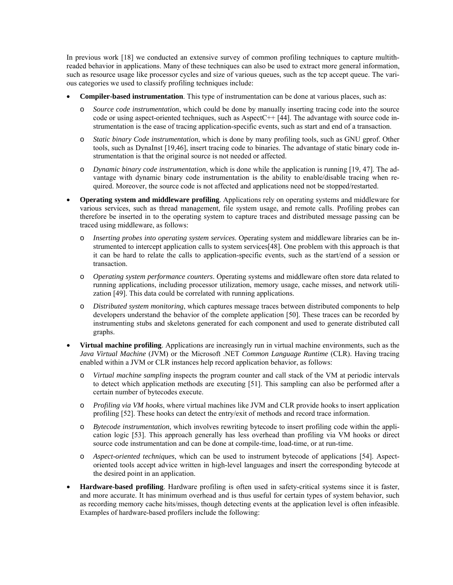In previous work [18] we conducted an extensive survey of common profiling techniques to capture multithreaded behavior in applications. Many of these techniques can also be used to extract more general information, such as resource usage like processor cycles and size of various queues, such as the tcp accept queue. The various categories we used to classify profiling techniques include:

- **Compiler-based instrumentation**. This type of instrumentation can be done at various places, such as:
	- o *Source code instrumentation*, which could be done by manually inserting tracing code into the source code or using aspect-oriented techniques, such as AspectC++ [44]. The advantage with source code instrumentation is the ease of tracing application-specific events, such as start and end of a transaction.
	- o *Static binary Code instrumentation*, which is done by many profiling tools, such as GNU gprof. Other tools, such as DynaInst [19,46], insert tracing code to binaries. The advantage of static binary code instrumentation is that the original source is not needed or affected.
	- o *Dynamic binary code instrumentation*, which is done while the application is running [19, 47]. The advantage with dynamic binary code instrumentation is the ability to enable/disable tracing when required. Moreover, the source code is not affected and applications need not be stopped/restarted.
- **Operating system and middleware profiling**. Applications rely on operating systems and middleware for various services, such as thread management, file system usage, and remote calls. Profiling probes can therefore be inserted in to the operating system to capture traces and distributed message passing can be traced using middleware, as follows:
	- o *Inserting probes into operating system services*. Operating system and middleware libraries can be instrumented to intercept application calls to system services[48]. One problem with this approach is that it can be hard to relate the calls to application-specific events, such as the start/end of a session or transaction.
	- o *Operating system performance counters*. Operating systems and middleware often store data related to running applications, including processor utilization, memory usage, cache misses, and network utilization [49]. This data could be correlated with running applications.
	- o *Distributed system monitoring*, which captures message traces between distributed components to help developers understand the behavior of the complete application [50]. These traces can be recorded by instrumenting stubs and skeletons generated for each component and used to generate distributed call graphs.
- **Virtual machine profiling**. Applications are increasingly run in virtual machine environments, such as the *Java Virtual Machine* (JVM) or the Microsoft .NET *Common Language Runtime* (CLR). Having tracing enabled within a JVM or CLR instances help record application behavior, as follows:
	- o *Virtual machine sampling* inspects the program counter and call stack of the VM at periodic intervals to detect which application methods are executing [51]. This sampling can also be performed after a certain number of bytecodes execute.
	- o *Profiling via VM hooks*, where virtual machines like JVM and CLR provide hooks to insert application profiling [52]. These hooks can detect the entry/exit of methods and record trace information.
	- o *Bytecode instrumentation*, which involves rewriting bytecode to insert profiling code within the application logic [53]. This approach generally has less overhead than profiling via VM hooks or direct source code instrumentation and can be done at compile-time, load-time, or at run-time.
	- o *Aspect-oriented techniques*, which can be used to instrument bytecode of applications [54]. Aspectoriented tools accept advice written in high-level languages and insert the corresponding bytecode at the desired point in an application.
- **Hardware-based profiling**. Hardware profiling is often used in safety-critical systems since it is faster, and more accurate. It has minimum overhead and is thus useful for certain types of system behavior, such as recording memory cache hits/misses, though detecting events at the application level is often infeasible. Examples of hardware-based profilers include the following: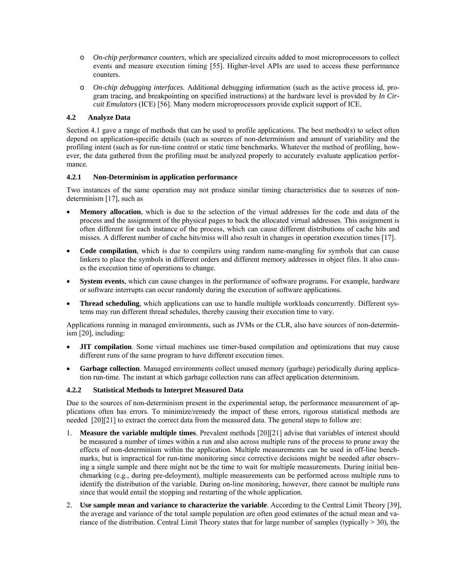- o *On-chip performance counters*, which are specialized circuits added to most microprocessors to collect events and measure execution timing [55]. Higher-level APIs are used to access these performance counters.
- o *On-chip debugging interfaces*. Additional debugging information (such as the active process id, program tracing, and breakpointing on specified instructions) at the hardware level is provided by *In Circuit Emulators* (ICE) [56]. Many modern microprocessors provide explicit support of ICE.

## **4.2 Analyze Data**

Section 4.1 gave a range of methods that can be used to profile applications. The best method(s) to select often depend on application-specific details (such as sources of non-determinism and amount of variability and the profiling intent (such as for run-time control or static time benchmarks. Whatever the method of profiling, however, the data gathered from the profiling must be analyzed properly to accurately evaluate application performance.

# **4.2.1 Non-Determinism in application performance**

Two instances of the same operation may not produce similar timing characteristics due to sources of nondeterminism [17], such as

- **Memory allocation**, which is due to the selection of the virtual addresses for the code and data of the process and the assignment of the physical pages to back the allocated virtual addresses. This assignment is often different for each instance of the process, which can cause different distributions of cache hits and misses. A different number of cache hits/miss will also result in changes in operation execution times [17].
- **Code compilation**, which is due to compilers using random name-mangling for symbols that can cause linkers to place the symbols in different orders and different memory addresses in object files. It also causes the execution time of operations to change.
- **System events**, which can cause changes in the performance of software programs. For example, hardware or software interrupts can occur randomly during the execution of software applications.
- **Thread scheduling**, which applications can use to handle multiple workloads concurrently. Different systems may run different thread schedules, thereby causing their execution time to vary.

Applications running in managed environments, such as JVMs or the CLR, also have sources of non-determinism [20], including:

- **JIT compilation**. Some virtual machines use timer-based compilation and optimizations that may cause different runs of the same program to have different execution times.
- **Garbage collection**. Managed environments collect unused memory (garbage) periodically during application run-time. The instant at which garbage collection runs can affect application determinism.

# **4.2.2 Statistical Methods to Interpret Measured Data**

Due to the sources of non-determinism present in the experimental setup, the performance measurement of applications often has errors. To minimize/remedy the impact of these errors, rigorous statistical methods are needed [20][21] to extract the correct data from the measured data. The general steps to follow are:

- 1. **Measure the variable multiple times**. Prevalent methods [20][21] advise that variables of interest should be measured a number of times within a run and also across multiple runs of the process to prune away the effects of non-determinism within the application. Multiple measurements can be used in off-line benchmarks, but is impractical for run-time monitoring since corrective decisions might be needed after observing a single sample and there might not be the time to wait for multiple measurements. During initial benchmarking (e.g., during pre-deloyment), multiple measurements can be performed across multiple runs to identify the distribution of the variable. During on-line monitoring, however, there cannot be multiple runs since that would entail the stopping and restarting of the whole application.
- 2. **Use sample mean and variance to characterize the variable**. According to the Central Limit Theory [39], the average and variance of the total sample population are often good estimates of the actual mean and variance of the distribution. Central Limit Theory states that for large number of samples (typically  $>$  30), the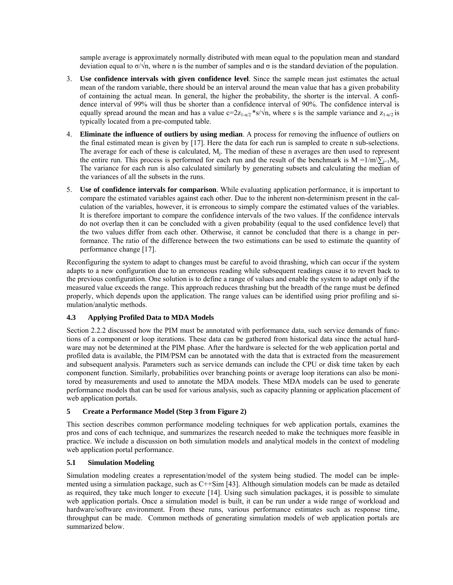sample average is approximately normally distributed with mean equal to the population mean and standard deviation equal to  $\sigma/\nu n$ , where n is the number of samples and  $\sigma$  is the standard deviation of the population.

- 3. **Use confidence intervals with given confidence level**. Since the sample mean just estimates the actual mean of the random variable, there should be an interval around the mean value that has a given probability of containing the actual mean. In general, the higher the probability, the shorter is the interval. A confidence interval of 99% will thus be shorter than a confidence interval of 90%. The confidence interval is equally spread around the mean and has a value  $c=2z_{1-\alpha/2}$  \*s/ $\sqrt{n}$ , where s is the sample variance and  $z_{1-\alpha/2}$  is typically located from a pre-computed table.
- 4. **Eliminate the influence of outliers by using median**. A process for removing the influence of outliers on the final estimated mean is given by [17]. Here the data for each run is sampled to create n sub-selections. The average for each of these is calculated,  $M<sub>i</sub>$ . The median of these n averages are then used to represent the entire run. This process is performed for each run and the result of the benchmark is  $M = 1/m\sum_{i=1}^{n}M_i$ . The variance for each run is also calculated similarly by generating subsets and calculating the median of the variances of all the subsets in the runs.
- 5. **Use of confidence intervals for comparison**. While evaluating application performance, it is important to compare the estimated variables against each other. Due to the inherent non-determinism present in the calculation of the variables, however, it is erroneous to simply compare the estimated values of the variables. It is therefore important to compare the confidence intervals of the two values. If the confidence intervals do not overlap then it can be concluded with a given probability (equal to the used confidence level) that the two values differ from each other. Otherwise, it cannot be concluded that there is a change in performance. The ratio of the difference between the two estimations can be used to estimate the quantity of performance change [17].

Reconfiguring the system to adapt to changes must be careful to avoid thrashing, which can occur if the system adapts to a new configuration due to an erroneous reading while subsequent readings cause it to revert back to the previous configuration. One solution is to define a range of values and enable the system to adapt only if the measured value exceeds the range. This approach reduces thrashing but the breadth of the range must be defined properly, which depends upon the application. The range values can be identified using prior profiling and simulation/analytic methods.

### **4.3 Applying Profiled Data to MDA Models**

Section 2.2.2 discussed how the PIM must be annotated with performance data, such service demands of functions of a component or loop iterations. These data can be gathered from historical data since the actual hardware may not be determined at the PIM phase. After the hardware is selected for the web application portal and profiled data is available, the PIM/PSM can be annotated with the data that is extracted from the measurement and subsequent analysis. Parameters such as service demands can include the CPU or disk time taken by each component function. Similarly, probabilities over branching points or average loop iterations can also be monitored by measurements and used to annotate the MDA models. These MDA models can be used to generate performance models that can be used for various analysis, such as capacity planning or application placement of web application portals.

### **5 Create a Performance Model (Step 3 from Figure 2)**

This section describes common performance modeling techniques for web application portals, examines the pros and cons of each technique, and summarizes the research needed to make the techniques more feasible in practice. We include a discussion on both simulation models and analytical models in the context of modeling web application portal performance.

# **5.1 Simulation Modeling**

Simulation modeling creates a representation/model of the system being studied. The model can be implemented using a simulation package, such as C++Sim [43]. Although simulation models can be made as detailed as required, they take much longer to execute [14]. Using such simulation packages, it is possible to simulate web application portals. Once a simulation model is built, it can be run under a wide range of workload and hardware/software environment. From these runs, various performance estimates such as response time, throughput can be made. Common methods of generating simulation models of web application portals are summarized below.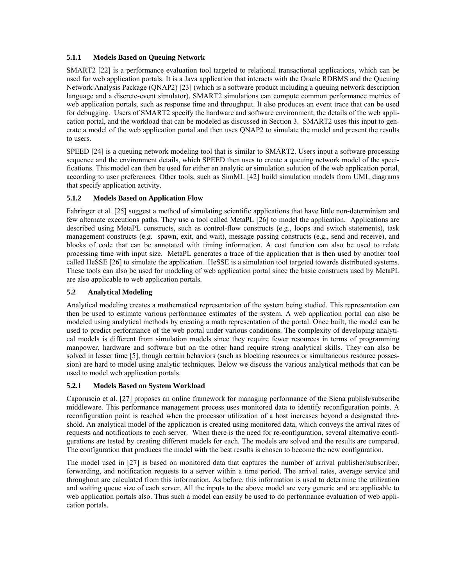# **5.1.1 Models Based on Queuing Network**

SMART2 [22] is a performance evaluation tool targeted to relational transactional applications, which can be used for web application portals. It is a Java application that interacts with the Oracle RDBMS and the Queuing Network Analysis Package (QNAP2) [23] (which is a software product including a queuing network description language and a discrete-event simulator). SMART2 simulations can compute common performance metrics of web application portals, such as response time and throughput. It also produces an event trace that can be used for debugging. Users of SMART2 specify the hardware and software environment, the details of the web application portal, and the workload that can be modeled as discussed in Section 3. SMART2 uses this input to generate a model of the web application portal and then uses QNAP2 to simulate the model and present the results to users.

SPEED [24] is a queuing network modeling tool that is similar to SMART2. Users input a software processing sequence and the environment details, which SPEED then uses to create a queuing network model of the specifications. This model can then be used for either an analytic or simulation solution of the web application portal, according to user preferences. Other tools, such as SimML [42] build simulation models from UML diagrams that specify application activity.

# **5.1.2 Models Based on Application Flow**

Fahringer et al. [25] suggest a method of simulating scientific applications that have little non-determinism and few alternate executions paths. They use a tool called MetaPL [26] to model the application. Applications are described using MetaPL constructs, such as control-flow constructs (e.g., loops and switch statements), task management constructs (e.g. spawn, exit, and wait), message passing constructs (e.g., send and receive), and blocks of code that can be annotated with timing information. A cost function can also be used to relate processing time with input size. MetaPL generates a trace of the application that is then used by another tool called HeSSE [26] to simulate the application. HeSSE is a simulation tool targeted towards distributed systems. These tools can also be used for modeling of web application portal since the basic constructs used by MetaPL are also applicable to web application portals.

# **5.2 Analytical Modeling**

Analytical modeling creates a mathematical representation of the system being studied. This representation can then be used to estimate various performance estimates of the system. A web application portal can also be modeled using analytical methods by creating a math representation of the portal. Once built, the model can be used to predict performance of the web portal under various conditions. The complexity of developing analytical models is different from simulation models since they require fewer resources in terms of programming manpower, hardware and software but on the other hand require strong analytical skills. They can also be solved in lesser time [5], though certain behaviors (such as blocking resources or simultaneous resource possession) are hard to model using analytic techniques. Below we discuss the various analytical methods that can be used to model web application portals.

### **5.2.1 Models Based on System Workload**

Caporuscio et al. [27] proposes an online framework for managing performance of the Siena publish/subscribe middleware. This performance management process uses monitored data to identify reconfiguration points. A reconfiguration point is reached when the processor utilization of a host increases beyond a designated threshold. An analytical model of the application is created using monitored data, which conveys the arrival rates of requests and notifications to each server. When there is the need for re-configuration, several alternative configurations are tested by creating different models for each. The models are solved and the results are compared. The configuration that produces the model with the best results is chosen to become the new configuration.

The model used in [27] is based on monitored data that captures the number of arrival publisher/subscriber, forwarding, and notification requests to a server within a time period. The arrival rates, average service and throughout are calculated from this information. As before, this information is used to determine the utilization and waiting queue size of each server. All the inputs to the above model are very generic and are applicable to web application portals also. Thus such a model can easily be used to do performance evaluation of web application portals.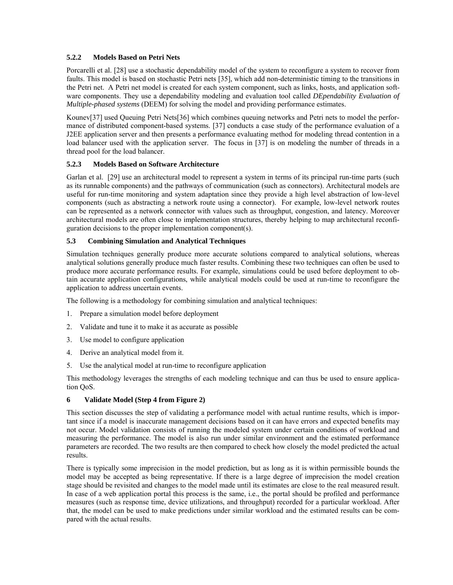# **5.2.2 Models Based on Petri Nets**

Porcarelli et al. [28] use a stochastic dependability model of the system to reconfigure a system to recover from faults. This model is based on stochastic Petri nets [35], which add non-deterministic timing to the transitions in the Petri net. A Petri net model is created for each system component, such as links, hosts, and application software components. They use a dependability modeling and evaluation tool called *DEpendability Evaluation of Multiple-phased systems* (DEEM) for solving the model and providing performance estimates.

Kounev[37] used Queuing Petri Nets[36] which combines queuing networks and Petri nets to model the performance of distributed component-based systems. [37] conducts a case study of the performance evaluation of a J2EE application server and then presents a performance evaluating method for modeling thread contention in a load balancer used with the application server. The focus in [37] is on modeling the number of threads in a thread pool for the load balancer.

# **5.2.3 Models Based on Software Architecture**

Garlan et al. [29] use an architectural model to represent a system in terms of its principal run-time parts (such as its runnable components) and the pathways of communication (such as connectors). Architectural models are useful for run-time monitoring and system adaptation since they provide a high level abstraction of low-level components (such as abstracting a network route using a connector). For example, low-level network routes can be represented as a network connector with values such as throughput, congestion, and latency. Moreover architectural models are often close to implementation structures, thereby helping to map architectural reconfiguration decisions to the proper implementation component(s).

# **5.3 Combining Simulation and Analytical Techniques**

Simulation techniques generally produce more accurate solutions compared to analytical solutions, whereas analytical solutions generally produce much faster results. Combining these two techniques can often be used to produce more accurate performance results. For example, simulations could be used before deployment to obtain accurate application configurations, while analytical models could be used at run-time to reconfigure the application to address uncertain events.

The following is a methodology for combining simulation and analytical techniques:

- 1. Prepare a simulation model before deployment
- 2. Validate and tune it to make it as accurate as possible
- 3. Use model to configure application
- 4. Derive an analytical model from it.
- 5. Use the analytical model at run-time to reconfigure application

This methodology leverages the strengths of each modeling technique and can thus be used to ensure application QoS.

### **6 Validate Model (Step 4 from Figure 2)**

This section discusses the step of validating a performance model with actual runtime results, which is important since if a model is inaccurate management decisions based on it can have errors and expected benefits may not occur. Model validation consists of running the modeled system under certain conditions of workload and measuring the performance. The model is also run under similar environment and the estimated performance parameters are recorded. The two results are then compared to check how closely the model predicted the actual results.

There is typically some imprecision in the model prediction, but as long as it is within permissible bounds the model may be accepted as being representative. If there is a large degree of imprecision the model creation stage should be revisited and changes to the model made until its estimates are close to the real measured result. In case of a web application portal this process is the same, i.e., the portal should be profiled and performance measures (such as response time, device utilizations, and throughput) recorded for a particular workload. After that, the model can be used to make predictions under similar workload and the estimated results can be compared with the actual results.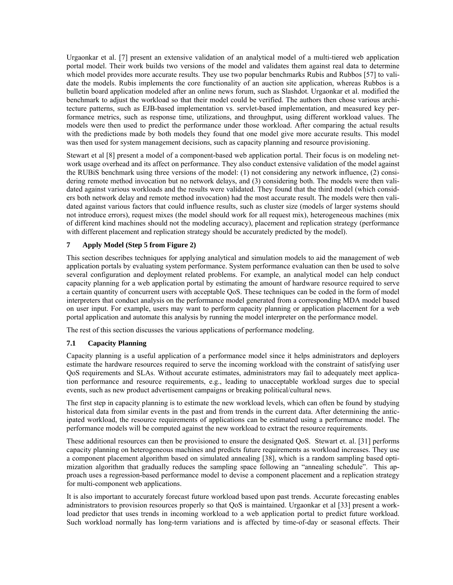Urgaonkar et al. [7] present an extensive validation of an analytical model of a multi-tiered web application portal model. Their work builds two versions of the model and validates them against real data to determine which model provides more accurate results. They use two popular benchmarks Rubis and Rubbos [57] to validate the models. Rubis implements the core functionality of an auction site application, whereas Rubbos is a bulletin board application modeled after an online news forum, such as Slashdot. Urgaonkar et al. modified the benchmark to adjust the workload so that their model could be verified. The authors then chose various architecture patterns, such as EJB-based implementation vs. servlet-based implementation, and measured key performance metrics, such as response time, utilizations, and throughput, using different workload values. The models were then used to predict the performance under those workload. After comparing the actual results with the predictions made by both models they found that one model give more accurate results. This model was then used for system management decisions, such as capacity planning and resource provisioning.

Stewart et al [8] present a model of a component-based web application portal. Their focus is on modeling network usage overhead and its affect on performance. They also conduct extensive validation of the model against the RUBiS benchmark using three versions of the model: (1) not considering any network influence, (2) considering remote method invocation but no network delays, and (3) considering both. The models were then validated against various workloads and the results were validated. They found that the third model (which considers both network delay and remote method invocation) had the most accurate result. The models were then validated against various factors that could influence results, such as cluster size (models of larger systems should not introduce errors), request mixes (the model should work for all request mix), heterogeneous machines (mix of different kind machines should not the modeling accuracy), placement and replication strategy (performance with different placement and replication strategy should be accurately predicted by the model).

# **7 Apply Model (Step 5 from Figure 2)**

This section describes techniques for applying analytical and simulation models to aid the management of web application portals by evaluating system performance. System performance evaluation can then be used to solve several configuration and deployment related problems. For example, an analytical model can help conduct capacity planning for a web application portal by estimating the amount of hardware resource required to serve a certain quantity of concurrent users with acceptable QoS. These techniques can be coded in the form of model interpreters that conduct analysis on the performance model generated from a corresponding MDA model based on user input. For example, users may want to perform capacity planning or application placement for a web portal application and automate this analysis by running the model interpreter on the performance model.

The rest of this section discusses the various applications of performance modeling.

### **7.1 Capacity Planning**

Capacity planning is a useful application of a performance model since it helps administrators and deployers estimate the hardware resources required to serve the incoming workload with the constraint of satisfying user QoS requirements and SLAs. Without accurate estimates, administrators may fail to adequately meet application performance and resource requirements, e.g., leading to unacceptable workload surges due to special events, such as new product advertisement campaigns or breaking political/cultural news.

The first step in capacity planning is to estimate the new workload levels, which can often be found by studying historical data from similar events in the past and from trends in the current data. After determining the anticipated workload, the resource requirements of applications can be estimated using a performance model. The performance models will be computed against the new workload to extract the resource requirements.

These additional resources can then be provisioned to ensure the designated QoS. Stewart et. al. [31] performs capacity planning on heterogeneous machines and predicts future requirements as workload increases. They use a component placement algorithm based on simulated annealing [38], which is a random sampling based optimization algorithm that gradually reduces the sampling space following an "annealing schedule". This approach uses a regression-based performance model to devise a component placement and a replication strategy for multi-component web applications.

It is also important to accurately forecast future workload based upon past trends. Accurate forecasting enables administrators to provision resources properly so that QoS is maintained. Urgaonkar et al [33] present a workload predictor that uses trends in incoming workload to a web application portal to predict future workload. Such workload normally has long-term variations and is affected by time-of-day or seasonal effects. Their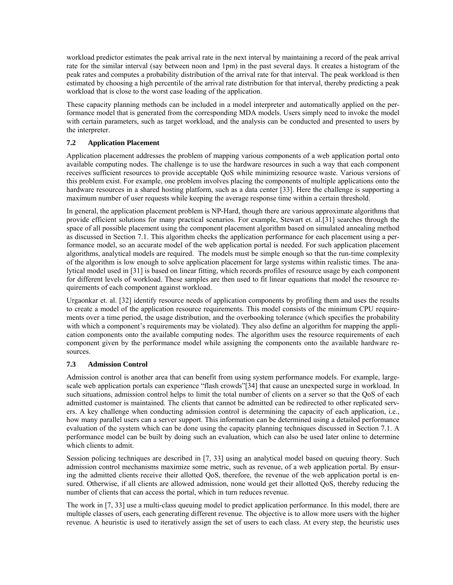workload predictor estimates the peak arrival rate in the next interval by maintaining a record of the peak arrival rate for the similar interval (say between noon and 1pm) in the past several days. It creates a histogram of the peak rates and computes a probability distribution of the arrival rate for that interval. The peak workload is then estimated by choosing a high percentile of the arrival rate distribution for that interval, thereby predicting a peak workload that is close to the worst case loading of the application.

These capacity planning methods can be included in a model interpreter and automatically applied on the performance model that is generated from the corresponding MDA models. Users simply need to invoke the model with certain parameters, such as target workload, and the analysis can be conducted and presented to users by the interpreter.

# **7.2 Application Placement**

Application placement addresses the problem of mapping various components of a web application portal onto available computing nodes. The challenge is to use the hardware resources in such a way that each component receives sufficient resources to provide acceptable QoS while minimizing resource waste. Various versions of this problem exist. For example, one problem involves placing the components of multiple applications onto the hardware resources in a shared hosting platform, such as a data center [33]. Here the challenge is supporting a maximum number of user requests while keeping the average response time within a certain threshold.

In general, the application placement problem is NP-Hard, though there are various approximate algorithms that provide efficient solutions for many practical scenarios. For example, Stewart et. al.[31] searches through the space of all possible placement using the component placement algorithm based on simulated annealing method as discussed in Section 7.1. This algorithm checks the application performance for each placement using a performance model, so an accurate model of the web application portal is needed. For such application placement algorithms, analytical models are required. The models must be simple enough so that the run-time complexity of the algorithm is low enough to solve application placement for large systems within realistic times. The analytical model used in [31] is based on linear fitting, which records profiles of resource usage by each component for different levels of workload. These samples are then used to fit linear equations that model the resource requirements of each component against workload.

Urgaonkar et. al. [32] identify resource needs of application components by profiling them and uses the results to create a model of the application resource requirements. This model consists of the minimum CPU requirements over a time period, the usage distribution, and the overbooking tolerance (which specifies the probability with which a component's requirements may be violated). They also define an algorithm for mapping the application components onto the available computing nodes. The algorithm uses the resource requirements of each component given by the performance model while assigning the components onto the available hardware resources.

### **7.3 Admission Control**

Admission control is another area that can benefit from using system performance models. For example, largescale web application portals can experience "flash crowds"[34] that cause an unexpected surge in workload. In such situations, admission control helps to limit the total number of clients on a server so that the QoS of each admitted customer is maintained. The clients that cannot be admitted can be redirected to other replicated servers. A key challenge when conducting admission control is determining the capacity of each application, i.e., how many parallel users can a server support. This information can be determined using a detailed performance evaluation of the system which can be done using the capacity planning techniques discussed in Section 7.1. A performance model can be built by doing such an evaluation, which can also be used later online to determine which clients to admit.

Session policing techniques are described in [7, 33] using an analytical model based on queuing theory. Such admission control mechanisms maximize some metric, such as revenue, of a web application portal. By ensuring the admitted clients receive their allotted QoS, therefore, the revenue of the web application portal is ensured. Otherwise, if all clients are allowed admission, none would get their allotted QoS, thereby reducing the number of clients that can access the portal, which in turn reduces revenue.

The work in [7, 33] use a multi-class queuing model to predict application performance. In this model, there are multiple classes of users, each generating different revenue. The objective is to allow more users with the higher revenue. A heuristic is used to iteratively assign the set of users to each class. At every step, the heuristic uses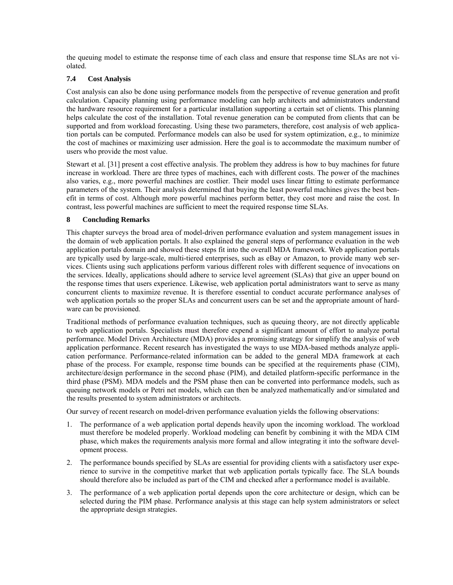the queuing model to estimate the response time of each class and ensure that response time SLAs are not violated.

# **7.4 Cost Analysis**

Cost analysis can also be done using performance models from the perspective of revenue generation and profit calculation. Capacity planning using performance modeling can help architects and administrators understand the hardware resource requirement for a particular installation supporting a certain set of clients. This planning helps calculate the cost of the installation. Total revenue generation can be computed from clients that can be supported and from workload forecasting. Using these two parameters, therefore, cost analysis of web application portals can be computed. Performance models can also be used for system optimization, e.g., to minimize the cost of machines or maximizing user admission. Here the goal is to accommodate the maximum number of users who provide the most value.

Stewart et al. [31] present a cost effective analysis. The problem they address is how to buy machines for future increase in workload. There are three types of machines, each with different costs. The power of the machines also varies, e.g., more powerful machines are costlier. Their model uses linear fitting to estimate performance parameters of the system. Their analysis determined that buying the least powerful machines gives the best benefit in terms of cost. Although more powerful machines perform better, they cost more and raise the cost. In contrast, less powerful machines are sufficient to meet the required response time SLAs.

# **8 Concluding Remarks**

This chapter surveys the broad area of model-driven performance evaluation and system management issues in the domain of web application portals. It also explained the general steps of performance evaluation in the web application portals domain and showed these steps fit into the overall MDA framework. Web application portals are typically used by large-scale, multi-tiered enterprises, such as eBay or Amazon, to provide many web services. Clients using such applications perform various different roles with different sequence of invocations on the services. Ideally, applications should adhere to service level agreement (SLAs) that give an upper bound on the response times that users experience. Likewise, web application portal administrators want to serve as many concurrent clients to maximize revenue. It is therefore essential to conduct accurate performance analyses of web application portals so the proper SLAs and concurrent users can be set and the appropriate amount of hardware can be provisioned.

Traditional methods of performance evaluation techniques, such as queuing theory, are not directly applicable to web application portals. Specialists must therefore expend a significant amount of effort to analyze portal performance. Model Driven Architecture (MDA) provides a promising strategy for simplify the analysis of web application performance. Recent research has investigated the ways to use MDA-based methods analyze application performance. Performance-related information can be added to the general MDA framework at each phase of the process. For example, response time bounds can be specified at the requirements phase (CIM), architecture/design performance in the second phase (PIM), and detailed platform-specific performance in the third phase (PSM). MDA models and the PSM phase then can be converted into performance models, such as queuing network models or Petri net models, which can then be analyzed mathematically and/or simulated and the results presented to system administrators or architects.

Our survey of recent research on model-driven performance evaluation yields the following observations:

- 1. The performance of a web application portal depends heavily upon the incoming workload. The workload must therefore be modeled properly. Workload modeling can benefit by combining it with the MDA CIM phase, which makes the requirements analysis more formal and allow integrating it into the software development process.
- 2. The performance bounds specified by SLAs are essential for providing clients with a satisfactory user experience to survive in the competitive market that web application portals typically face. The SLA bounds should therefore also be included as part of the CIM and checked after a performance model is available.
- 3. The performance of a web application portal depends upon the core architecture or design, which can be selected during the PIM phase. Performance analysis at this stage can help system administrators or select the appropriate design strategies.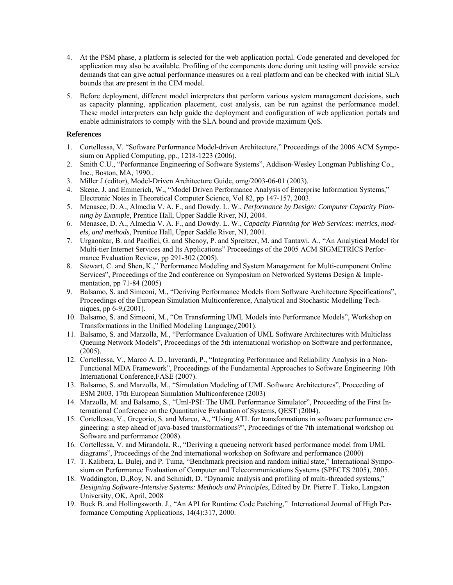- 4. At the PSM phase, a platform is selected for the web application portal. Code generated and developed for application may also be available. Profiling of the components done during unit testing will provide service demands that can give actual performance measures on a real platform and can be checked with initial SLA bounds that are present in the CIM model.
- 5. Before deployment, different model interpreters that perform various system management decisions, such as capacity planning, application placement, cost analysis, can be run against the performance model. These model interpreters can help guide the deployment and configuration of web application portals and enable administrators to comply with the SLA bound and provide maximum QoS.

#### **References**

- 1. Cortellessa, V. "Software Performance Model-driven Architecture," Proceedings of the 2006 ACM Symposium on Applied Computing, pp., 1218-1223 (2006).
- 2. Smith C.U., "Performance Engineering of Software Systems", Addison-Wesley Longman Publishing Co., Inc., Boston, MA, 1990..
- 3. Miller J.(editor), Model-Driven Architecture Guide, omg/2003-06-01 (2003).
- 4. Skene, J. and Emmerich, W., "Model Driven Performance Analysis of Enterprise Information Systems," Electronic Notes in Theoretical Computer Science, Vol 82, pp 147-157, 2003.
- 5. Menasce, D. A., Almedia V. A. F., and Dowdy. L. W., *Performance by Design: Computer Capacity Planning by Example*, Prentice Hall, Upper Saddle River, NJ, 2004.
- 6. Menasce, D. A., Almedia V. A. F., and Dowdy. L. W., *Capacity Planning for Web Services: metrics, models, and methods*, Prentice Hall, Upper Saddle River, NJ, 2001.
- 7. Urgaonkar, B. and Pacifici, G. and Shenoy, P. and Spreitzer, M. and Tantawi, A., "An Analytical Model for Multi-tier Internet Services and Its Applications" Proceedings of the 2005 ACM SIGMETRICS Performance Evaluation Review, pp 291-302 (2005).
- 8. Stewart, C. and Shen, K.," Performance Modeling and System Management for Multi-component Online Services", Proceedings of the 2nd conference on Symposium on Networked Systems Design & Implementation, pp 71-84 (2005)
- 9. Balsamo, S. and Simeoni, M., "Deriving Performance Models from Software Architecture Specifications", Proceedings of the European Simulation Multiconference, Analytical and Stochastic Modelling Techniques, pp 6-9,(2001).
- 10. Balsamo, S. and Simeoni, M., "On Transforming UML Models into Performance Models", Workshop on Transformations in the Unified Modeling Language,(2001).
- 11. Balsamo, S. and Marzolla, M., "Performance Evaluation of UML Software Architectures with Multiclass Queuing Network Models", Proceedings of the 5th international workshop on Software and performance,  $(2005)$ .
- 12. Cortellessa, V., Marco A. D., Inverardi, P., "Integrating Performance and Reliability Analysis in a Non-Functional MDA Framework", Proceedings of the Fundamental Approaches to Software Engineering 10th International Conference,FASE (2007).
- 13. Balsamo, S. and Marzolla, M., "Simulation Modeling of UML Software Architectures", Proceeding of ESM 2003, 17th European Simulation Multiconference (2003)
- 14. Marzolla, M. and Balsamo, S., "Uml-PSI: The UML Performance Simulator", Proceeding of the First International Conference on the Quantitative Evaluation of Systems, QEST (2004).
- 15. Cortellessa, V., Gregorio, S. and Marco, A., "Using ATL for transformations in software performance engineering: a step ahead of java-based transformations?", Proceedings of the 7th international workshop on Software and performance (2008).
- 16. Cortellessa, V. and Mirandola, R., "Deriving a queueing network based performance model from UML diagrams", Proceedings of the 2nd international workshop on Software and performance (2000)
- 17. T. Kalibera, L. Bulej, and P. Tuma, "Benchmark precision and random initial state," International Symposium on Performance Evaluation of Computer and Telecommunications Systems (SPECTS 2005), 2005.
- 18. Waddington, D.,Roy, N. and Schmidt, D. "Dynamic analysis and profiling of multi-threaded systems," *Designing Software-Intensive Systems: Methods and Principles*, Edited by Dr. Pierre F. Tiako, Langston University, OK, April, 2008
- 19. Buck B. and Hollingsworth. J., "An API for Runtime Code Patching," International Journal of High Performance Computing Applications, 14(4):317, 2000.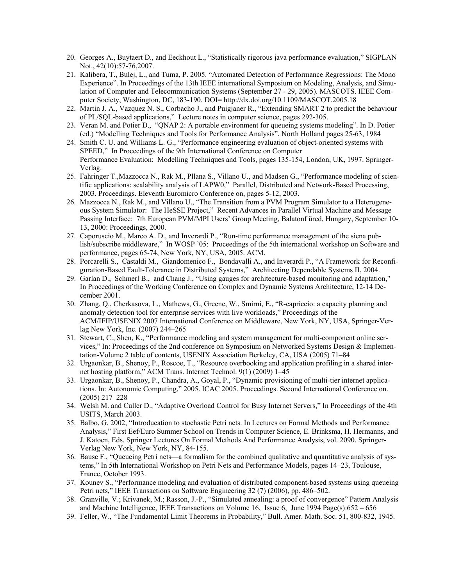- 20. Georges A., Buytaert D., and Eeckhout L., "Statistically rigorous java performance evaluation," SIGPLAN Not., 42(10):57-76,2007.
- 21. Kalibera, T., Bulej, L., and Tuma, P. 2005. "Automated Detection of Performance Regressions: The Mono Experience". In Proceedings of the 13th IEEE international Symposium on Modeling, Analysis, and Simulation of Computer and Telecommunication Systems (September 27 - 29, 2005). MASCOTS. IEEE Computer Society, Washington, DC, 183-190. DOI= http://dx.doi.org/10.1109/MASCOT.2005.18
- 22. Martin J. A., Vazquez N. S., Corbacho J., and Puigjaner R., "Extending SMART 2 to predict the behaviour of PL/SQL-based applications," Lecture notes in computer science, pages 292-305.
- 23. Veran M. and Potier D., "QNAP 2: A portable environment for queueing systems modeling". In D. Potier (ed.) "Modelling Techniques and Tools for Performance Analysis", North Holland pages 25-63, 1984
- 24. Smith C. U. and Williams L. G., "Performance engineering evaluation of object-oriented systems with SPEED," In Proceedings of the 9th International Conference on Computer Performance Evaluation: Modelling Techniques and Tools, pages 135-154, London, UK, 1997. Springer-Verlag.
- 25. Fahringer T.,Mazzocca N., Rak M., Pllana S., Villano U., and Madsen G., "Performance modeling of scientific applications: scalability analysis of LAPW0," Parallel, Distributed and Network-Based Processing, 2003. Proceedings. Eleventh Euromicro Conference on, pages 5-12, 2003.
- 26. Mazzocca N., Rak M., and Villano U., "The Transition from a PVM Program Simulator to a Heterogeneous System Simulator: The HeSSE Project," Recent Advances in Parallel Virtual Machine and Message Passing Interface: 7th European PVM/MPI Users' Group Meeting, Balatonf üred, Hungary, September 10- 13, 2000: Proceedings, 2000.
- 27. Caporuscio M., Marco A. D., and Inverardi P., "Run-time performance management of the siena publish/subscribe middleware," In WOSP '05: Proceedings of the 5th international workshop on Software and performance, pages 65-74, New York, NY, USA, 2005. ACM.
- 28. Porcarelli S., Castaldi M., Giandomenico F., Bondavalli A., and Inverardi P., "A Framework for Reconfiguration-Based Fault-Tolerance in Distributed Systems," Architecting Dependable Systems II, 2004.
- 29. Garlan D., Schmerl B., and Chang J., "Using gauges for architecture-based monitoring and adaptation," In Proceedings of the Working Conference on Complex and Dynamic Systems Architecture, 12-14 December 2001.
- 30. Zhang, Q., Cherkasova, L., Mathews, G., Greene, W., Smirni, E., "R-capriccio: a capacity planning and anomaly detection tool for enterprise services with live workloads," Proceedings of the ACM/IFIP/USENIX 2007 International Conference on Middleware, New York, NY, USA, Springer-Verlag New York, Inc. (2007) 244–265
- 31. Stewart, C., Shen, K., "Performance modeling and system management for multi-component online services," In: Proceedings of the 2nd conference on Symposium on Networked Systems Design & Implementation-Volume 2 table of contents, USENIX Association Berkeley, CA, USA (2005) 71–84
- 32. Urgaonkar, B., Shenoy, P., Roscoe, T., "Resource overbooking and application profiling in a shared internet hosting platform," ACM Trans. Internet Technol. 9(1) (2009) 1–45
- 33. Urgaonkar, B., Shenoy, P., Chandra, A., Goyal, P., "Dynamic provisioning of multi-tier internet applications. In: Autonomic Computing," 2005. ICAC 2005. Proceedings. Second International Conference on. (2005) 217–228
- 34. Welsh M. and Culler D., "Adaptive Overload Control for Busy Internet Servers," In Proceedings of the 4th USITS, March 2003.
- 35. Balbo, G. 2002, "Introducation to stochastic Petri nets. In Lectures on Formal Methods and Performance Analysis," First Eef/Euro Summer School on Trends in Computer Science, E. Brinksma, H. Hermanns, and J. Katoen, Eds. Springer Lectures On Formal Methods And Performance Analysis, vol. 2090. Springer-Verlag New York, New York, NY, 84-155.
- 36. Bause F., "Queueing Petri nets—a formalism for the combined qualitative and quantitative analysis of systems," In 5th International Workshop on Petri Nets and Performance Models, pages 14–23, Toulouse, France, October 1993.
- 37. Kounev S., "Performance modeling and evaluation of distributed component-based systems using queueing Petri nets," IEEE Transactions on Software Engineering 32 (7) (2006), pp. 486–502.
- 38. Granville, V.; Krivanek, M.; Rasson, J.-P., "Simulated annealing: a proof of convergence" Pattern Analysis and Machine Intelligence, IEEE Transactions on Volume 16, Issue 6, June 1994 Page(s):652 – 656
- 39. Feller, W., "The Fundamental Limit Theorems in Probability," Bull. Amer. Math. Soc. 51, 800-832, 1945.